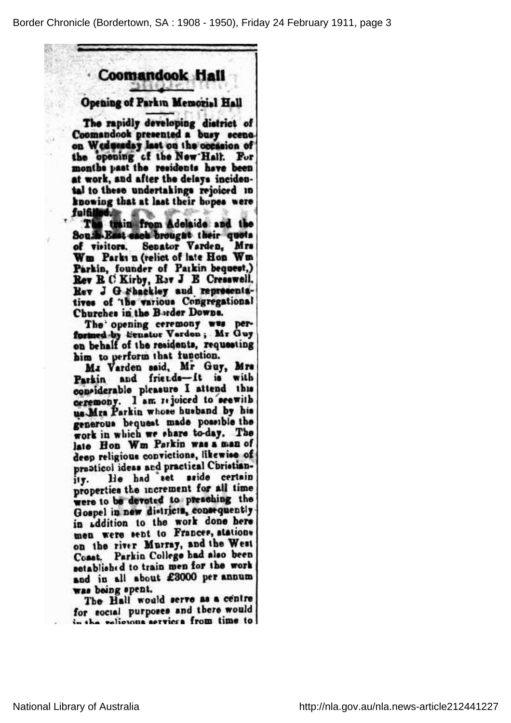## **Coomandook Hall**

?

## Opening of Parkm Memorial Hall

The rapidly developing district of Coomandook presented a busy scenoon Wednesday last on the occasion of the opening of the New'Hall. Fur months past the residents have been at work, and after the delays incidental to these undertakings rejoiced in knowing that at last their hopes were fulfilled M to the section. %

The train from Adelaide and the Soush-East each brougat their quota Wm Parks n (relict of late Hon Wm Parkin, founder of Paikin bequest,) Rev B. C Kirby, Rav J B Cresswell. Rev J G Fhackley and representaof *the various* Congregational Churches in the Border Downs.

The opening ceremony was performed by Senator Varden; Mr Guy<br>on behalf of the residents, requesting him to perform that function.

Mi Varden said, Mr Guy, Mrs Parkin and friends-It is with considerable pleasure I attend this ceremony. I am rejoiced to seewith us Mrs Parkin whose husband by his generous bequest made possible the work in which we share to-day. The late Hon Wm Parkin was a man of deep religious convictions, likewise of practicol ideas and practical Cbristian-He had set sside certain ity. He had set sende certain<br>properties the increment for all time were to be devoted to preaching the Gospel in new districts, consequently in addition to the work done here men were sent to Frances, stations on the river Murray,and the West Coast. Parkin College had also been setablished to train men for the work and in all about £3000 per annum was being spent.

The Hall would serve as <sup>a</sup> centre for social purposes and there would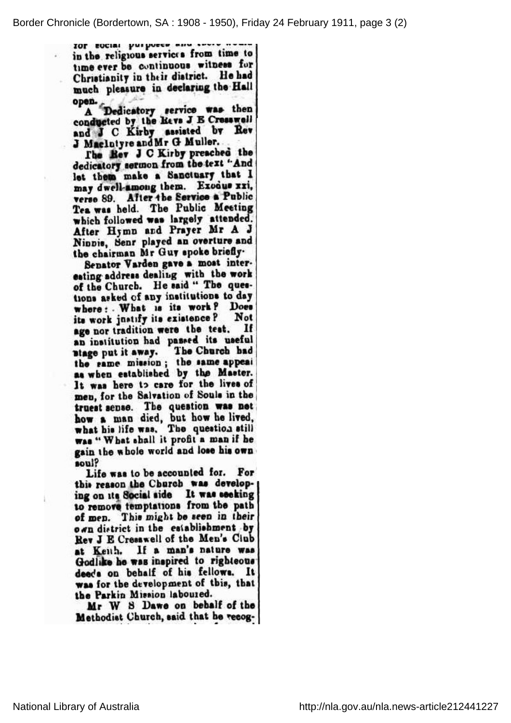TOP EOCIAL purposes and sever news in the. religious services from time to time ever be continuous witness for Christianity in their district. He had much pleasure in declaring the Hall  $\mathbf{open}$  ,  $\mathbf{v}$   $\mathbf{v}'$  and  $\mathbf{v}'$  is the value of  $\mathbf{v}'$ 

A Dedicatory service was the t and J C Kirby assisted by Rev J Maclutyre and Mr G Muller.

The Rev J C Kirby preached the dedicatory sermon from the text "And let them make a Sanctuary that I may dwell-among them. Exodus xxi, verse 89. After the Service a Public Tea was held. The Public Meeting which followed was largely attended After Hymn and Prayer Mr A J Ninnis, Senr played an overture and the chairman Mr Guy spoke briefly.

Senator Varden gave a most interesting address dealing with the work of the Church. He said " The quesasked of any institutions to day where : What is its work? Does its work justify its existence ? Not age por tradition were age not tradition had needed its neeful an number and rad The Church had stage put it away. The Church had<br>the same mission; the same appeal as when established by the Master. It was here to care for the lives of men, for the Salvation of Souls in th truest sense. The question was net how a man died, but how he live what his life was. The question still was" What shall it profit<sup>a</sup> man if he gain the wholeworldand lose hisown soul?

Life was to be accounted for. For on its Social side It was seeking to remove temptations from the path of men. This might be seen in their own district in the establishment by Rev J E Cresswell of the Men's Club at Keith. If a man's nature was Godlike he was inspired to righteo deeds on behalf of his fellows. It was for the development of this, the the Parkin Mission laboured.

Mr W S Dawe on behalf of the Methodist Church, said that he recog